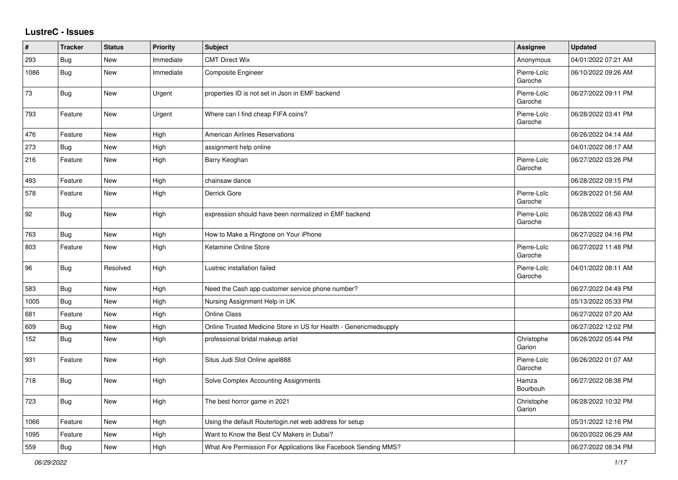## **LustreC - Issues**

| #    | <b>Tracker</b> | <b>Status</b> | <b>Priority</b> | <b>Subject</b>                                                    | Assignee               | <b>Updated</b>      |
|------|----------------|---------------|-----------------|-------------------------------------------------------------------|------------------------|---------------------|
| 293  | Bug            | <b>New</b>    | Immediate       | <b>CMT Direct Wix</b>                                             | Anonymous              | 04/01/2022 07:21 AM |
| 1086 | Bug            | New           | Immediate       | <b>Composite Engineer</b>                                         | Pierre-Loïc<br>Garoche | 06/10/2022 09:26 AM |
| 73   | Bug            | New           | Urgent          | properties ID is not set in Json in EMF backend                   | Pierre-Loïc<br>Garoche | 06/27/2022 09:11 PM |
| 793  | Feature        | New           | Urgent          | Where can I find cheap FIFA coins?                                | Pierre-Loïc<br>Garoche | 06/28/2022 03:41 PM |
| 476  | Feature        | New           | High            | <b>American Airlines Reservations</b>                             |                        | 06/26/2022 04:14 AM |
| 273  | Bug            | New           | High            | assignment help online                                            |                        | 04/01/2022 08:17 AM |
| 216  | Feature        | New           | High            | Barry Keoghan                                                     | Pierre-Loïc<br>Garoche | 06/27/2022 03:26 PM |
| 493  | Feature        | <b>New</b>    | High            | chainsaw dance                                                    |                        | 06/28/2022 09:15 PM |
| 578  | Feature        | <b>New</b>    | High            | Derrick Gore                                                      | Pierre-Loïc<br>Garoche | 06/28/2022 01:56 AM |
| 92   | <b>Bug</b>     | New           | High            | expression should have been normalized in EMF backend             | Pierre-Loïc<br>Garoche | 06/28/2022 08:43 PM |
| 763  | Bug            | New           | High            | How to Make a Ringtone on Your iPhone                             |                        | 06/27/2022 04:16 PM |
| 803  | Feature        | New           | High            | Ketamine Online Store                                             | Pierre-Loïc<br>Garoche | 06/27/2022 11:48 PM |
| 96   | Bug            | Resolved      | High            | Lustrec installation failed                                       | Pierre-Loïc<br>Garoche | 04/01/2022 08:11 AM |
| 583  | Bug            | New           | High            | Need the Cash app customer service phone number?                  |                        | 06/27/2022 04:49 PM |
| 1005 | Bug            | New           | High            | Nursing Assignment Help in UK                                     |                        | 05/13/2022 05:33 PM |
| 681  | Feature        | <b>New</b>    | High            | Online Class                                                      |                        | 06/27/2022 07:20 AM |
| 609  | Bug            | New           | High            | Online Trusted Medicine Store in US for Health - Genericmedsupply |                        | 06/27/2022 12:02 PM |
| 152  | Bug            | New           | High            | professional bridal makeup artist                                 | Christophe<br>Garion   | 06/26/2022 05:44 PM |
| 931  | Feature        | New           | High            | Situs Judi Slot Online apel888                                    | Pierre-Loïc<br>Garoche | 06/26/2022 01:07 AM |
| 718  | <b>Bug</b>     | New           | High            | Solve Complex Accounting Assignments                              | Hamza<br>Bourbouh      | 06/27/2022 08:38 PM |
| 723  | <b>Bug</b>     | New           | High            | The best horror game in 2021                                      | Christophe<br>Garion   | 06/28/2022 10:32 PM |
| 1066 | Feature        | New           | High            | Using the default Routerlogin.net web address for setup           |                        | 05/31/2022 12:16 PM |
| 1095 | Feature        | New           | High            | Want to Know the Best CV Makers in Dubai?                         |                        | 06/20/2022 06:29 AM |
| 559  | Bug            | New           | High            | What Are Permission For Applications like Facebook Sending MMS?   |                        | 06/27/2022 08:34 PM |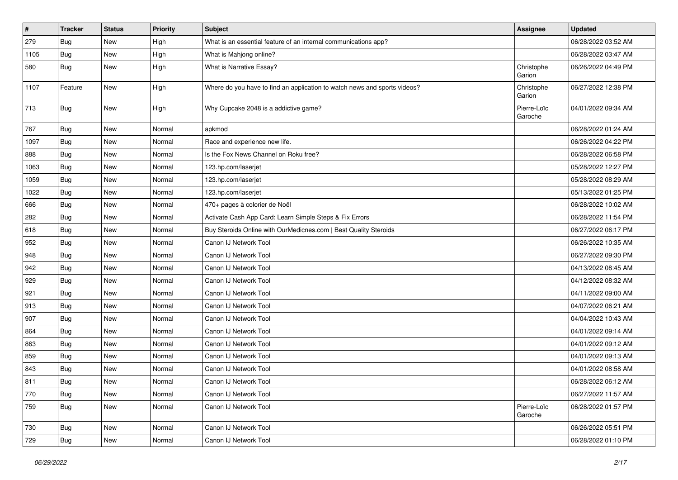| $\pmb{\#}$ | <b>Tracker</b> | <b>Status</b> | <b>Priority</b> | <b>Subject</b>                                                            | Assignee               | <b>Updated</b>      |
|------------|----------------|---------------|-----------------|---------------------------------------------------------------------------|------------------------|---------------------|
| 279        | Bug            | New           | High            | What is an essential feature of an internal communications app?           |                        | 06/28/2022 03:52 AM |
| 1105       | Bug            | New           | High            | What is Mahjong online?                                                   |                        | 06/28/2022 03:47 AM |
| 580        | Bug            | New           | High            | What is Narrative Essay?                                                  | Christophe<br>Garion   | 06/26/2022 04:49 PM |
| 1107       | Feature        | New           | High            | Where do you have to find an application to watch news and sports videos? | Christophe<br>Garion   | 06/27/2022 12:38 PM |
| 713        | Bug            | New           | High            | Why Cupcake 2048 is a addictive game?                                     | Pierre-Loïc<br>Garoche | 04/01/2022 09:34 AM |
| 767        | Bug            | New           | Normal          | apkmod                                                                    |                        | 06/28/2022 01:24 AM |
| 1097       | <b>Bug</b>     | New           | Normal          | Race and experience new life.                                             |                        | 06/26/2022 04:22 PM |
| 888        | Bug            | New           | Normal          | Is the Fox News Channel on Roku free?                                     |                        | 06/28/2022 06:58 PM |
| 1063       | <b>Bug</b>     | New           | Normal          | 123.hp.com/laserjet                                                       |                        | 05/28/2022 12:27 PM |
| 1059       | Bug            | New           | Normal          | 123.hp.com/laserjet                                                       |                        | 05/28/2022 08:29 AM |
| 1022       | <b>Bug</b>     | New           | Normal          | 123.hp.com/laserjet                                                       |                        | 05/13/2022 01:25 PM |
| 666        | Bug            | New           | Normal          | 470+ pages à colorier de Noël                                             |                        | 06/28/2022 10:02 AM |
| 282        | <b>Bug</b>     | New           | Normal          | Activate Cash App Card: Learn Simple Steps & Fix Errors                   |                        | 06/28/2022 11:54 PM |
| 618        | <b>Bug</b>     | New           | Normal          | Buy Steroids Online with OurMedicnes.com   Best Quality Steroids          |                        | 06/27/2022 06:17 PM |
| 952        | <b>Bug</b>     | New           | Normal          | Canon IJ Network Tool                                                     |                        | 06/26/2022 10:35 AM |
| 948        | <b>Bug</b>     | New           | Normal          | Canon IJ Network Tool                                                     |                        | 06/27/2022 09:30 PM |
| 942        | <b>Bug</b>     | New           | Normal          | Canon IJ Network Tool                                                     |                        | 04/13/2022 08:45 AM |
| 929        | Bug            | New           | Normal          | Canon IJ Network Tool                                                     |                        | 04/12/2022 08:32 AM |
| 921        | <b>Bug</b>     | New           | Normal          | Canon IJ Network Tool                                                     |                        | 04/11/2022 09:00 AM |
| 913        | Bug            | New           | Normal          | Canon IJ Network Tool                                                     |                        | 04/07/2022 06:21 AM |
| 907        | Bug            | New           | Normal          | Canon IJ Network Tool                                                     |                        | 04/04/2022 10:43 AM |
| 864        | Bug            | New           | Normal          | Canon IJ Network Tool                                                     |                        | 04/01/2022 09:14 AM |
| 863        | Bug            | New           | Normal          | Canon IJ Network Tool                                                     |                        | 04/01/2022 09:12 AM |
| 859        | <b>Bug</b>     | New           | Normal          | Canon IJ Network Tool                                                     |                        | 04/01/2022 09:13 AM |
| 843        | <b>Bug</b>     | New           | Normal          | Canon IJ Network Tool                                                     |                        | 04/01/2022 08:58 AM |
| 811        | Bug            | New           | Normal          | Canon IJ Network Tool                                                     |                        | 06/28/2022 06:12 AM |
| 770        | Bug            | New           | Normal          | Canon IJ Network Tool                                                     |                        | 06/27/2022 11:57 AM |
| 759        | Bug            | New           | Normal          | Canon IJ Network Tool                                                     | Pierre-Loïc<br>Garoche | 06/28/2022 01:57 PM |
| 730        | Bug            | New           | Normal          | Canon IJ Network Tool                                                     |                        | 06/26/2022 05:51 PM |
| 729        | <b>Bug</b>     | New           | Normal          | Canon IJ Network Tool                                                     |                        | 06/28/2022 01:10 PM |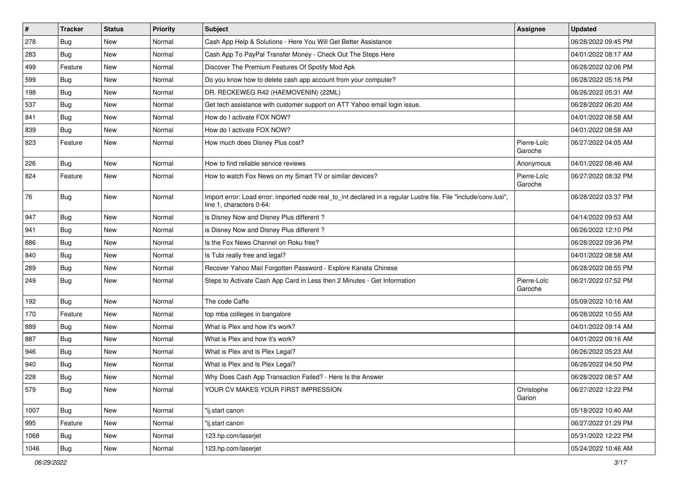| $\vert$ # | <b>Tracker</b> | <b>Status</b> | <b>Priority</b> | <b>Subject</b>                                                                                                                               | Assignee               | <b>Updated</b>      |
|-----------|----------------|---------------|-----------------|----------------------------------------------------------------------------------------------------------------------------------------------|------------------------|---------------------|
| 278       | <b>Bug</b>     | New           | Normal          | Cash App Help & Solutions - Here You Will Get Better Assistance                                                                              |                        | 06/28/2022 09:45 PM |
| 283       | <b>Bug</b>     | <b>New</b>    | Normal          | Cash App To PayPal Transfer Money - Check Out The Steps Here                                                                                 |                        | 04/01/2022 08:17 AM |
| 499       | Feature        | New           | Normal          | Discover The Premium Features Of Spotify Mod Apk                                                                                             |                        | 06/28/2022 02:06 PM |
| 599       | <b>Bug</b>     | New           | Normal          | Do you know how to delete cash app account from your computer?                                                                               |                        | 06/28/2022 05:16 PM |
| 198       | Bug            | New           | Normal          | DR. RECKEWEG R42 (HAEMOVENIN) (22ML)                                                                                                         |                        | 06/26/2022 05:31 AM |
| 537       | <b>Bug</b>     | New           | Normal          | Get tech assistance with customer support on ATT Yahoo email login issue.                                                                    |                        | 06/28/2022 06:20 AM |
| 841       | Bug            | New           | Normal          | How do I activate FOX NOW?                                                                                                                   |                        | 04/01/2022 08:58 AM |
| 839       | <b>Bug</b>     | New           | Normal          | How do I activate FOX NOW?                                                                                                                   |                        | 04/01/2022 08:58 AM |
| 823       | Feature        | New           | Normal          | How much does Disney Plus cost?                                                                                                              | Pierre-Loïc<br>Garoche | 06/27/2022 04:05 AM |
| 226       | Bug            | New           | Normal          | How to find reliable service reviews                                                                                                         | Anonymous              | 04/01/2022 08:46 AM |
| 824       | Feature        | New           | Normal          | How to watch Fox News on my Smart TV or similar devices?                                                                                     | Pierre-Loïc<br>Garoche | 06/27/2022 08:32 PM |
| 76        | Bug            | New           | Normal          | Import error: Load error: imported node real_to_int declared in a regular Lustre file. File "include/conv.lusi",<br>line 1, characters 0-64: |                        | 06/28/2022 03:37 PM |
| 947       | Bug            | New           | Normal          | is Disney Now and Disney Plus different?                                                                                                     |                        | 04/14/2022 09:53 AM |
| 941       | Bug            | New           | Normal          | is Disney Now and Disney Plus different?                                                                                                     |                        | 06/26/2022 12:10 PM |
| 886       | Bug            | New           | Normal          | Is the Fox News Channel on Roku free?                                                                                                        |                        | 06/28/2022 09:36 PM |
| 840       | Bug            | New           | Normal          | Is Tubi really free and legal?                                                                                                               |                        | 04/01/2022 08:58 AM |
| 289       | <b>Bug</b>     | <b>New</b>    | Normal          | Recover Yahoo Mail Forgotten Password - Explore Kanata Chinese                                                                               |                        | 06/28/2022 08:55 PM |
| 249       | Bug            | New           | Normal          | Steps to Activate Cash App Card in Less then 2 Minutes - Get Information                                                                     | Pierre-Loïc<br>Garoche | 06/21/2022 07:52 PM |
| 192       | Bug            | New           | Normal          | The code Caffe                                                                                                                               |                        | 05/09/2022 10:16 AM |
| 170       | Feature        | New           | Normal          | top mba colleges in bangalore                                                                                                                |                        | 06/28/2022 10:55 AM |
| 889       | Bug            | New           | Normal          | What is Plex and how it's work?                                                                                                              |                        | 04/01/2022 09:14 AM |
| 887       | Bug            | New           | Normal          | What is Plex and how it's work?                                                                                                              |                        | 04/01/2022 09:16 AM |
| 946       | <b>Bug</b>     | New           | Normal          | What is Plex and Is Plex Legal?                                                                                                              |                        | 06/26/2022 05:23 AM |
| 940       | <b>Bug</b>     | New           | Normal          | What is Plex and Is Plex Legal?                                                                                                              |                        | 06/26/2022 04:50 PM |
| 228       | <b>Bug</b>     | New           | Normal          | Why Does Cash App Transaction Failed? - Here Is the Answer                                                                                   |                        | 06/28/2022 08:57 AM |
| 579       | <b>Bug</b>     | New           | Normal          | YOUR CV MAKES YOUR FIRST IMPRESSION                                                                                                          | Christophe<br>Garion   | 06/27/2022 12:22 PM |
| 1007      | <b>Bug</b>     | New           | Normal          | "ij.start canon                                                                                                                              |                        | 05/18/2022 10:40 AM |
| 995       | Feature        | New           | Normal          | "ij.start canon                                                                                                                              |                        | 06/27/2022 01:29 PM |
| 1068      | Bug            | New           | Normal          | 123.hp.com/laserjet                                                                                                                          |                        | 05/31/2022 12:22 PM |
| 1046      | <b>Bug</b>     | New           | Normal          | 123.hp.com/laserjet                                                                                                                          |                        | 05/24/2022 10:46 AM |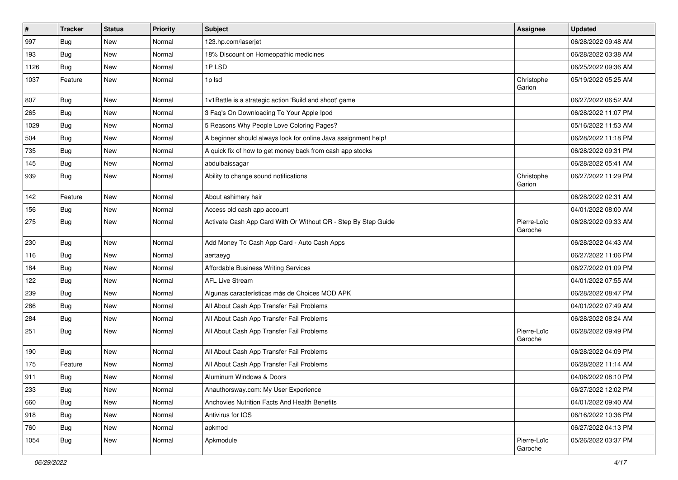| $\sharp$ | <b>Tracker</b> | <b>Status</b> | <b>Priority</b> | <b>Subject</b>                                                 | Assignee               | <b>Updated</b>      |
|----------|----------------|---------------|-----------------|----------------------------------------------------------------|------------------------|---------------------|
| 997      | <b>Bug</b>     | New           | Normal          | 123.hp.com/laserjet                                            |                        | 06/28/2022 09:48 AM |
| 193      | Bug            | New           | Normal          | 18% Discount on Homeopathic medicines                          |                        | 06/28/2022 03:38 AM |
| 1126     | Bug            | New           | Normal          | 1PLSD                                                          |                        | 06/25/2022 09:36 AM |
| 1037     | Feature        | New           | Normal          | 1p lsd                                                         | Christophe<br>Garion   | 05/19/2022 05:25 AM |
| 807      | Bug            | New           | Normal          | 1v1Battle is a strategic action 'Build and shoot' game         |                        | 06/27/2022 06:52 AM |
| 265      | <b>Bug</b>     | New           | Normal          | 3 Faq's On Downloading To Your Apple Ipod                      |                        | 06/28/2022 11:07 PM |
| 1029     | <b>Bug</b>     | New           | Normal          | 5 Reasons Why People Love Coloring Pages?                      |                        | 05/16/2022 11:53 AM |
| 504      | <b>Bug</b>     | New           | Normal          | A beginner should always look for online Java assignment help! |                        | 06/28/2022 11:18 PM |
| 735      | Bug            | New           | Normal          | A quick fix of how to get money back from cash app stocks      |                        | 06/28/2022 09:31 PM |
| 145      | Bug            | New           | Normal          | abdulbaissagar                                                 |                        | 06/28/2022 05:41 AM |
| 939      | Bug            | New           | Normal          | Ability to change sound notifications                          | Christophe<br>Garion   | 06/27/2022 11:29 PM |
| 142      | Feature        | New           | Normal          | About ashimary hair                                            |                        | 06/28/2022 02:31 AM |
| 156      | Bug            | New           | Normal          | Access old cash app account                                    |                        | 04/01/2022 08:00 AM |
| 275      | Bug            | New           | Normal          | Activate Cash App Card With Or Without QR - Step By Step Guide | Pierre-Loïc<br>Garoche | 06/28/2022 09:33 AM |
| 230      | Bug            | New           | Normal          | Add Money To Cash App Card - Auto Cash Apps                    |                        | 06/28/2022 04:43 AM |
| 116      | Bug            | New           | Normal          | aertaeyg                                                       |                        | 06/27/2022 11:06 PM |
| 184      | <b>Bug</b>     | New           | Normal          | Affordable Business Writing Services                           |                        | 06/27/2022 01:09 PM |
| 122      | Bug            | New           | Normal          | <b>AFL Live Stream</b>                                         |                        | 04/01/2022 07:55 AM |
| 239      | Bug            | New           | Normal          | Algunas características más de Choices MOD APK                 |                        | 06/28/2022 08:47 PM |
| 286      | <b>Bug</b>     | New           | Normal          | All About Cash App Transfer Fail Problems                      |                        | 04/01/2022 07:49 AM |
| 284      | <b>Bug</b>     | New           | Normal          | All About Cash App Transfer Fail Problems                      |                        | 06/28/2022 08:24 AM |
| 251      | Bug            | New           | Normal          | All About Cash App Transfer Fail Problems                      | Pierre-Loïc<br>Garoche | 06/28/2022 09:49 PM |
| 190      | Bug            | New           | Normal          | All About Cash App Transfer Fail Problems                      |                        | 06/28/2022 04:09 PM |
| 175      | Feature        | New           | Normal          | All About Cash App Transfer Fail Problems                      |                        | 06/28/2022 11:14 AM |
| 911      | <b>Bug</b>     | New           | Normal          | Aluminum Windows & Doors                                       |                        | 04/06/2022 08:10 PM |
| 233      | <b>Bug</b>     | New           | Normal          | Anauthorsway.com: My User Experience                           |                        | 06/27/2022 12:02 PM |
| 660      | <b>Bug</b>     | New           | Normal          | Anchovies Nutrition Facts And Health Benefits                  |                        | 04/01/2022 09:40 AM |
| 918      | <b>Bug</b>     | New           | Normal          | Antivirus for IOS                                              |                        | 06/16/2022 10:36 PM |
| 760      | Bug            | New           | Normal          | apkmod                                                         |                        | 06/27/2022 04:13 PM |
| 1054     | <b>Bug</b>     | New           | Normal          | Apkmodule                                                      | Pierre-Loïc<br>Garoche | 05/26/2022 03:37 PM |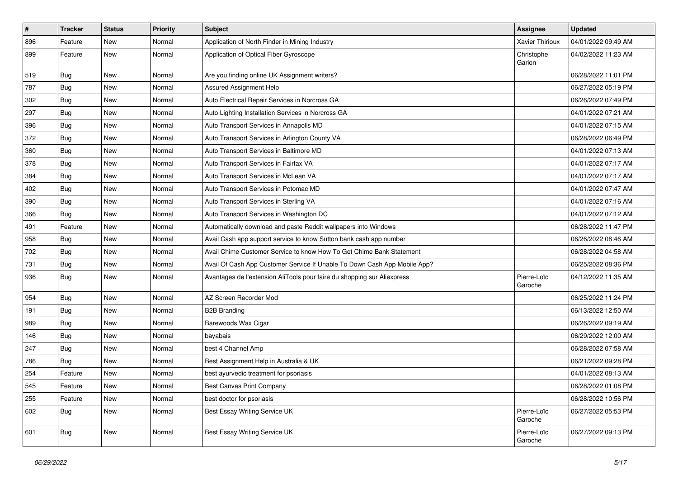| $\vert$ # | <b>Tracker</b> | <b>Status</b> | Priority | <b>Subject</b>                                                            | <b>Assignee</b>        | <b>Updated</b>      |
|-----------|----------------|---------------|----------|---------------------------------------------------------------------------|------------------------|---------------------|
| 896       | Feature        | <b>New</b>    | Normal   | Application of North Finder in Mining Industry                            | <b>Xavier Thirioux</b> | 04/01/2022 09:49 AM |
| 899       | Feature        | New           | Normal   | Application of Optical Fiber Gyroscope                                    | Christophe<br>Garion   | 04/02/2022 11:23 AM |
| 519       | Bug            | New           | Normal   | Are you finding online UK Assignment writers?                             |                        | 06/28/2022 11:01 PM |
| 787       | Bug            | New           | Normal   | Assured Assignment Help                                                   |                        | 06/27/2022 05:19 PM |
| 302       | <b>Bug</b>     | New           | Normal   | Auto Electrical Repair Services in Norcross GA                            |                        | 06/26/2022 07:49 PM |
| 297       | Bug            | <b>New</b>    | Normal   | Auto Lighting Installation Services in Norcross GA                        |                        | 04/01/2022 07:21 AM |
| 396       | <b>Bug</b>     | New           | Normal   | Auto Transport Services in Annapolis MD                                   |                        | 04/01/2022 07:15 AM |
| 372       | Bug            | New           | Normal   | Auto Transport Services in Arlington County VA                            |                        | 06/28/2022 06:49 PM |
| 360       | Bug            | <b>New</b>    | Normal   | Auto Transport Services in Baltimore MD                                   |                        | 04/01/2022 07:13 AM |
| 378       | Bug            | New           | Normal   | Auto Transport Services in Fairfax VA                                     |                        | 04/01/2022 07:17 AM |
| 384       | Bug            | New           | Normal   | Auto Transport Services in McLean VA                                      |                        | 04/01/2022 07:17 AM |
| 402       | Bug            | <b>New</b>    | Normal   | Auto Transport Services in Potomac MD                                     |                        | 04/01/2022 07:47 AM |
| 390       | Bug            | <b>New</b>    | Normal   | Auto Transport Services in Sterling VA                                    |                        | 04/01/2022 07:16 AM |
| 366       | <b>Bug</b>     | <b>New</b>    | Normal   | Auto Transport Services in Washington DC                                  |                        | 04/01/2022 07:12 AM |
| 491       | Feature        | <b>New</b>    | Normal   | Automatically download and paste Reddit wallpapers into Windows           |                        | 06/28/2022 11:47 PM |
| 958       | <b>Bug</b>     | <b>New</b>    | Normal   | Avail Cash app support service to know Sutton bank cash app number        |                        | 06/26/2022 08:46 AM |
| 702       | Bug            | <b>New</b>    | Normal   | Avail Chime Customer Service to know How To Get Chime Bank Statement      |                        | 06/28/2022 04:58 AM |
| 731       | <b>Bug</b>     | <b>New</b>    | Normal   | Avail Of Cash App Customer Service If Unable To Down Cash App Mobile App? |                        | 06/25/2022 08:36 PM |
| 936       | <b>Bug</b>     | New           | Normal   | Avantages de l'extension AliTools pour faire du shopping sur Aliexpress   | Pierre-Loïc<br>Garoche | 04/12/2022 11:35 AM |
| 954       | Bug            | New           | Normal   | AZ Screen Recorder Mod                                                    |                        | 06/25/2022 11:24 PM |
| 191       | Bug            | <b>New</b>    | Normal   | <b>B2B Branding</b>                                                       |                        | 06/13/2022 12:50 AM |
| 989       | Bug            | New           | Normal   | Barewoods Wax Cigar                                                       |                        | 06/26/2022 09:19 AM |
| 146       | Bug            | New           | Normal   | bayabais                                                                  |                        | 06/29/2022 12:00 AM |
| 247       | <b>Bug</b>     | <b>New</b>    | Normal   | best 4 Channel Amp                                                        |                        | 06/28/2022 07:58 AM |
| 786       | Bug            | <b>New</b>    | Normal   | Best Assignment Help in Australia & UK                                    |                        | 06/21/2022 09:28 PM |
| 254       | Feature        | <b>New</b>    | Normal   | best ayurvedic treatment for psoriasis                                    |                        | 04/01/2022 08:13 AM |
| 545       | Feature        | <b>New</b>    | Normal   | Best Canvas Print Company                                                 |                        | 06/28/2022 01:08 PM |
| 255       | Feature        | <b>New</b>    | Normal   | best doctor for psoriasis                                                 |                        | 06/28/2022 10:56 PM |
| 602       | <b>Bug</b>     | <b>New</b>    | Normal   | Best Essay Writing Service UK                                             | Pierre-Loïc<br>Garoche | 06/27/2022 05:53 PM |
| 601       | <b>Bug</b>     | New           | Normal   | Best Essay Writing Service UK                                             | Pierre-Loïc<br>Garoche | 06/27/2022 09:13 PM |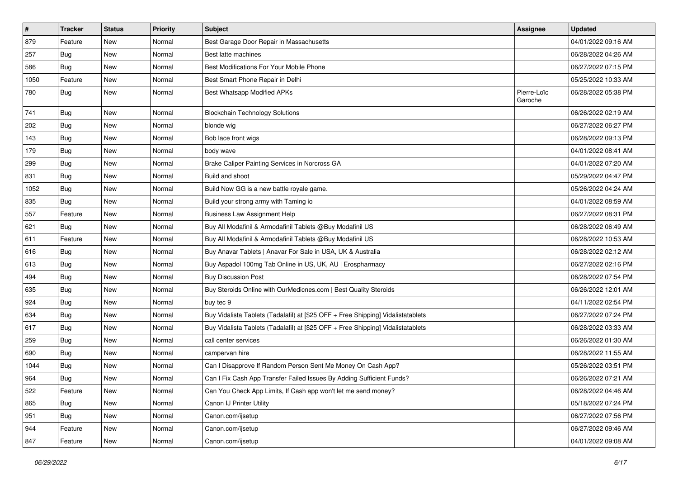| $\vert$ # | <b>Tracker</b> | <b>Status</b> | <b>Priority</b> | <b>Subject</b>                                                                   | Assignee               | <b>Updated</b>      |
|-----------|----------------|---------------|-----------------|----------------------------------------------------------------------------------|------------------------|---------------------|
| 879       | Feature        | New           | Normal          | Best Garage Door Repair in Massachusetts                                         |                        | 04/01/2022 09:16 AM |
| 257       | Bug            | <b>New</b>    | Normal          | Best latte machines                                                              |                        | 06/28/2022 04:26 AM |
| 586       | Bug            | New           | Normal          | Best Modifications For Your Mobile Phone                                         |                        | 06/27/2022 07:15 PM |
| 1050      | Feature        | New           | Normal          | Best Smart Phone Repair in Delhi                                                 |                        | 05/25/2022 10:33 AM |
| 780       | Bug            | New           | Normal          | <b>Best Whatsapp Modified APKs</b>                                               | Pierre-Loïc<br>Garoche | 06/28/2022 05:38 PM |
| 741       | <b>Bug</b>     | <b>New</b>    | Normal          | <b>Blockchain Technology Solutions</b>                                           |                        | 06/26/2022 02:19 AM |
| 202       | Bug            | New           | Normal          | blonde wig                                                                       |                        | 06/27/2022 06:27 PM |
| 143       | Bug            | New           | Normal          | Bob lace front wigs                                                              |                        | 06/28/2022 09:13 PM |
| 179       | Bug            | New           | Normal          | body wave                                                                        |                        | 04/01/2022 08:41 AM |
| 299       | <b>Bug</b>     | New           | Normal          | Brake Caliper Painting Services in Norcross GA                                   |                        | 04/01/2022 07:20 AM |
| 831       | Bug            | New           | Normal          | Build and shoot                                                                  |                        | 05/29/2022 04:47 PM |
| 1052      | <b>Bug</b>     | New           | Normal          | Build Now GG is a new battle royale game.                                        |                        | 05/26/2022 04:24 AM |
| 835       | Bug            | New           | Normal          | Build your strong army with Taming io                                            |                        | 04/01/2022 08:59 AM |
| 557       | Feature        | New           | Normal          | <b>Business Law Assignment Help</b>                                              |                        | 06/27/2022 08:31 PM |
| 621       | <b>Bug</b>     | New           | Normal          | Buy All Modafinil & Armodafinil Tablets @Buy Modafinil US                        |                        | 06/28/2022 06:49 AM |
| 611       | Feature        | New           | Normal          | Buy All Modafinil & Armodafinil Tablets @Buy Modafinil US                        |                        | 06/28/2022 10:53 AM |
| 616       | Bug            | New           | Normal          | Buy Anavar Tablets   Anavar For Sale in USA, UK & Australia                      |                        | 06/28/2022 02:12 AM |
| 613       | Bug            | New           | Normal          | Buy Aspadol 100mg Tab Online in US, UK, AU   Erospharmacy                        |                        | 06/27/2022 02:16 PM |
| 494       | <b>Bug</b>     | New           | Normal          | <b>Buy Discussion Post</b>                                                       |                        | 06/28/2022 07:54 PM |
| 635       | Bug            | New           | Normal          | Buy Steroids Online with OurMedicnes.com   Best Quality Steroids                 |                        | 06/26/2022 12:01 AM |
| 924       | <b>Bug</b>     | New           | Normal          | buy tec 9                                                                        |                        | 04/11/2022 02:54 PM |
| 634       | Bug            | New           | Normal          | Buy Vidalista Tablets (Tadalafil) at [\$25 OFF + Free Shipping] Vidalistatablets |                        | 06/27/2022 07:24 PM |
| 617       | <b>Bug</b>     | New           | Normal          | Buy Vidalista Tablets (Tadalafil) at [\$25 OFF + Free Shipping] Vidalistatablets |                        | 06/28/2022 03:33 AM |
| 259       | <b>Bug</b>     | <b>New</b>    | Normal          | call center services                                                             |                        | 06/26/2022 01:30 AM |
| 690       | Bug            | New           | Normal          | campervan hire                                                                   |                        | 06/28/2022 11:55 AM |
| 1044      | <b>Bug</b>     | New           | Normal          | Can I Disapprove If Random Person Sent Me Money On Cash App?                     |                        | 05/26/2022 03:51 PM |
| 964       | <b>Bug</b>     | New           | Normal          | Can I Fix Cash App Transfer Failed Issues By Adding Sufficient Funds?            |                        | 06/26/2022 07:21 AM |
| 522       | Feature        | New           | Normal          | Can You Check App Limits, If Cash app won't let me send money?                   |                        | 06/28/2022 04:46 AM |
| 865       | Bug            | New           | Normal          | Canon IJ Printer Utility                                                         |                        | 05/18/2022 07:24 PM |
| 951       | <b>Bug</b>     | New           | Normal          | Canon.com/ijsetup                                                                |                        | 06/27/2022 07:56 PM |
| 944       | Feature        | New           | Normal          | Canon.com/ijsetup                                                                |                        | 06/27/2022 09:46 AM |
| 847       | Feature        | New           | Normal          | Canon.com/ijsetup                                                                |                        | 04/01/2022 09:08 AM |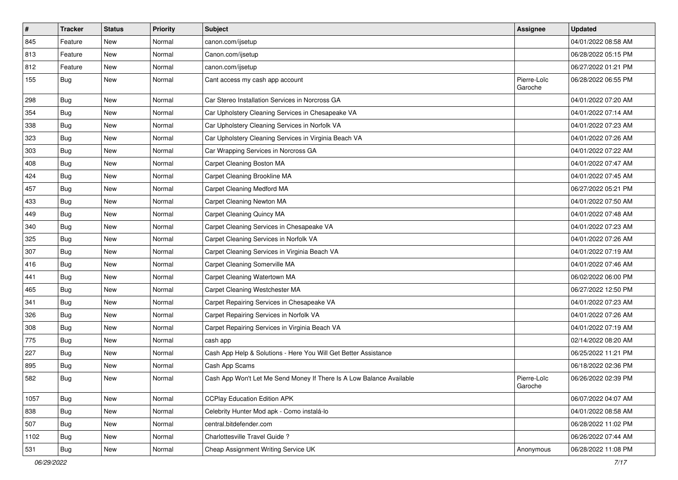| $\sharp$ | <b>Tracker</b> | <b>Status</b> | <b>Priority</b> | <b>Subject</b>                                                       | <b>Assignee</b>        | <b>Updated</b>      |
|----------|----------------|---------------|-----------------|----------------------------------------------------------------------|------------------------|---------------------|
| 845      | Feature        | New           | Normal          | canon.com/ijsetup                                                    |                        | 04/01/2022 08:58 AM |
| 813      | Feature        | New           | Normal          | Canon.com/ijsetup                                                    |                        | 06/28/2022 05:15 PM |
| 812      | Feature        | New           | Normal          | canon.com/ijsetup                                                    |                        | 06/27/2022 01:21 PM |
| 155      | Bug            | New           | Normal          | Cant access my cash app account                                      | Pierre-Loïc<br>Garoche | 06/28/2022 06:55 PM |
| 298      | <b>Bug</b>     | <b>New</b>    | Normal          | Car Stereo Installation Services in Norcross GA                      |                        | 04/01/2022 07:20 AM |
| 354      | Bug            | New           | Normal          | Car Upholstery Cleaning Services in Chesapeake VA                    |                        | 04/01/2022 07:14 AM |
| 338      | Bug            | <b>New</b>    | Normal          | Car Upholstery Cleaning Services in Norfolk VA                       |                        | 04/01/2022 07:23 AM |
| 323      | <b>Bug</b>     | <b>New</b>    | Normal          | Car Upholstery Cleaning Services in Virginia Beach VA                |                        | 04/01/2022 07:26 AM |
| 303      | <b>Bug</b>     | <b>New</b>    | Normal          | Car Wrapping Services in Norcross GA                                 |                        | 04/01/2022 07:22 AM |
| 408      | <b>Bug</b>     | New           | Normal          | Carpet Cleaning Boston MA                                            |                        | 04/01/2022 07:47 AM |
| 424      | <b>Bug</b>     | New           | Normal          | Carpet Cleaning Brookline MA                                         |                        | 04/01/2022 07:45 AM |
| 457      | <b>Bug</b>     | <b>New</b>    | Normal          | Carpet Cleaning Medford MA                                           |                        | 06/27/2022 05:21 PM |
| 433      | <b>Bug</b>     | New           | Normal          | Carpet Cleaning Newton MA                                            |                        | 04/01/2022 07:50 AM |
| 449      | Bug            | <b>New</b>    | Normal          | Carpet Cleaning Quincy MA                                            |                        | 04/01/2022 07:48 AM |
| 340      | <b>Bug</b>     | New           | Normal          | Carpet Cleaning Services in Chesapeake VA                            |                        | 04/01/2022 07:23 AM |
| 325      | <b>Bug</b>     | New           | Normal          | Carpet Cleaning Services in Norfolk VA                               |                        | 04/01/2022 07:26 AM |
| 307      | Bug            | New           | Normal          | Carpet Cleaning Services in Virginia Beach VA                        |                        | 04/01/2022 07:19 AM |
| 416      | <b>Bug</b>     | New           | Normal          | Carpet Cleaning Somerville MA                                        |                        | 04/01/2022 07:46 AM |
| 441      | <b>Bug</b>     | New           | Normal          | Carpet Cleaning Watertown MA                                         |                        | 06/02/2022 06:00 PM |
| 465      | <b>Bug</b>     | New           | Normal          | Carpet Cleaning Westchester MA                                       |                        | 06/27/2022 12:50 PM |
| 341      | <b>Bug</b>     | <b>New</b>    | Normal          | Carpet Repairing Services in Chesapeake VA                           |                        | 04/01/2022 07:23 AM |
| 326      | Bug            | <b>New</b>    | Normal          | Carpet Repairing Services in Norfolk VA                              |                        | 04/01/2022 07:26 AM |
| 308      | <b>Bug</b>     | New           | Normal          | Carpet Repairing Services in Virginia Beach VA                       |                        | 04/01/2022 07:19 AM |
| 775      | <b>Bug</b>     | New           | Normal          | cash app                                                             |                        | 02/14/2022 08:20 AM |
| 227      | <b>Bug</b>     | New           | Normal          | Cash App Help & Solutions - Here You Will Get Better Assistance      |                        | 06/25/2022 11:21 PM |
| 895      | <b>Bug</b>     | New           | Normal          | Cash App Scams                                                       |                        | 06/18/2022 02:36 PM |
| 582      | <b>Bug</b>     | New           | Normal          | Cash App Won't Let Me Send Money If There Is A Low Balance Available | Pierre-Loïc<br>Garoche | 06/26/2022 02:39 PM |
| 1057     | Bug            | New           | Normal          | <b>CCPlay Education Edition APK</b>                                  |                        | 06/07/2022 04:07 AM |
| 838      | Bug            | New           | Normal          | Celebrity Hunter Mod apk - Como instalá-lo                           |                        | 04/01/2022 08:58 AM |
| 507      | Bug            | New           | Normal          | central.bitdefender.com                                              |                        | 06/28/2022 11:02 PM |
| 1102     | Bug            | New           | Normal          | Charlottesville Travel Guide ?                                       |                        | 06/26/2022 07:44 AM |
| 531      | <b>Bug</b>     | New           | Normal          | Cheap Assignment Writing Service UK                                  | Anonymous              | 06/28/2022 11:08 PM |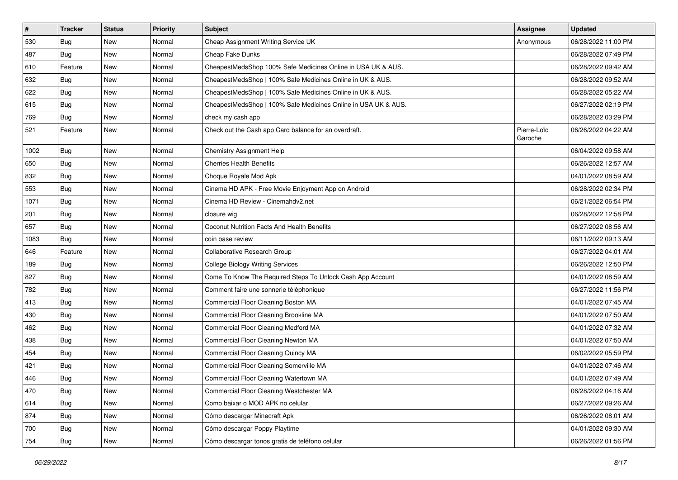| $\vert$ # | <b>Tracker</b> | <b>Status</b> | <b>Priority</b> | <b>Subject</b>                                                 | <b>Assignee</b>        | <b>Updated</b>      |
|-----------|----------------|---------------|-----------------|----------------------------------------------------------------|------------------------|---------------------|
| 530       | Bug            | New           | Normal          | Cheap Assignment Writing Service UK                            | Anonymous              | 06/28/2022 11:00 PM |
| 487       | <b>Bug</b>     | New           | Normal          | Cheap Fake Dunks                                               |                        | 06/28/2022 07:49 PM |
| 610       | Feature        | New           | Normal          | CheapestMedsShop 100% Safe Medicines Online in USA UK & AUS.   |                        | 06/28/2022 09:42 AM |
| 632       | <b>Bug</b>     | New           | Normal          | CheapestMedsShop   100% Safe Medicines Online in UK & AUS.     |                        | 06/28/2022 09:52 AM |
| 622       | Bug            | New           | Normal          | CheapestMedsShop   100% Safe Medicines Online in UK & AUS.     |                        | 06/28/2022 05:22 AM |
| 615       | Bug            | New           | Normal          | CheapestMedsShop   100% Safe Medicines Online in USA UK & AUS. |                        | 06/27/2022 02:19 PM |
| 769       | Bug            | New           | Normal          | check my cash app                                              |                        | 06/28/2022 03:29 PM |
| 521       | Feature        | New           | Normal          | Check out the Cash app Card balance for an overdraft.          | Pierre-Loïc<br>Garoche | 06/26/2022 04:22 AM |
| 1002      | Bug            | <b>New</b>    | Normal          | Chemistry Assignment Help                                      |                        | 06/04/2022 09:58 AM |
| 650       | <b>Bug</b>     | New           | Normal          | <b>Cherries Health Benefits</b>                                |                        | 06/26/2022 12:57 AM |
| 832       | Bug            | New           | Normal          | Choque Royale Mod Apk                                          |                        | 04/01/2022 08:59 AM |
| 553       | Bug            | New           | Normal          | Cinema HD APK - Free Movie Enjoyment App on Android            |                        | 06/28/2022 02:34 PM |
| 1071      | <b>Bug</b>     | New           | Normal          | Cinema HD Review - Cinemahdv2.net                              |                        | 06/21/2022 06:54 PM |
| 201       | Bug            | New           | Normal          | closure wig                                                    |                        | 06/28/2022 12:58 PM |
| 657       | <b>Bug</b>     | New           | Normal          | Coconut Nutrition Facts And Health Benefits                    |                        | 06/27/2022 08:56 AM |
| 1083      | Bug            | New           | Normal          | coin base review                                               |                        | 06/11/2022 09:13 AM |
| 646       | Feature        | New           | Normal          | Collaborative Research Group                                   |                        | 06/27/2022 04:01 AM |
| 189       | <b>Bug</b>     | New           | Normal          | <b>College Biology Writing Services</b>                        |                        | 06/26/2022 12:50 PM |
| 827       | Bug            | New           | Normal          | Come To Know The Required Steps To Unlock Cash App Account     |                        | 04/01/2022 08:59 AM |
| 782       | Bug            | New           | Normal          | Comment faire une sonnerie téléphonique                        |                        | 06/27/2022 11:56 PM |
| 413       | Bug            | New           | Normal          | Commercial Floor Cleaning Boston MA                            |                        | 04/01/2022 07:45 AM |
| 430       | Bug            | New           | Normal          | Commercial Floor Cleaning Brookline MA                         |                        | 04/01/2022 07:50 AM |
| 462       | Bug            | New           | Normal          | Commercial Floor Cleaning Medford MA                           |                        | 04/01/2022 07:32 AM |
| 438       | Bug            | New           | Normal          | Commercial Floor Cleaning Newton MA                            |                        | 04/01/2022 07:50 AM |
| 454       | Bug            | New           | Normal          | Commercial Floor Cleaning Quincy MA                            |                        | 06/02/2022 05:59 PM |
| 421       | Bug            | New           | Normal          | Commercial Floor Cleaning Somerville MA                        |                        | 04/01/2022 07:46 AM |
| 446       | <b>Bug</b>     | New           | Normal          | Commercial Floor Cleaning Watertown MA                         |                        | 04/01/2022 07:49 AM |
| 470       | <b>Bug</b>     | New           | Normal          | Commercial Floor Cleaning Westchester MA                       |                        | 06/28/2022 04:16 AM |
| 614       | Bug            | New           | Normal          | Como baixar o MOD APK no celular                               |                        | 06/27/2022 09:26 AM |
| 874       | <b>Bug</b>     | New           | Normal          | Cómo descargar Minecraft Apk                                   |                        | 06/26/2022 08:01 AM |
| 700       | Bug            | New           | Normal          | Cómo descargar Poppy Playtime                                  |                        | 04/01/2022 09:30 AM |
| 754       | <b>Bug</b>     | New           | Normal          | Cómo descargar tonos gratis de teléfono celular                |                        | 06/26/2022 01:56 PM |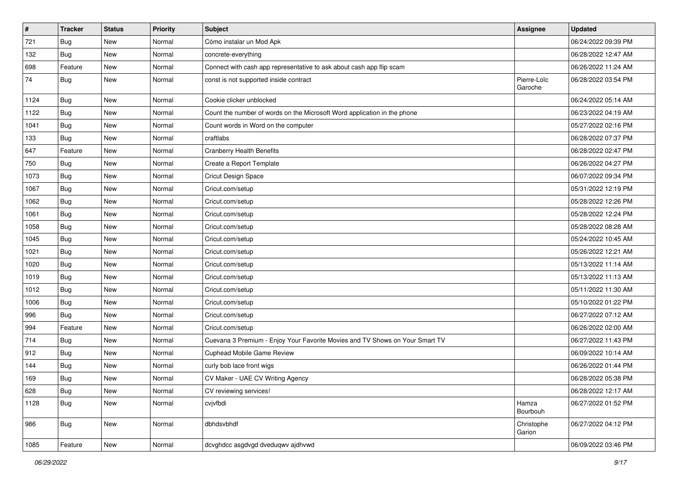| $\vert$ # | <b>Tracker</b> | <b>Status</b> | <b>Priority</b> | <b>Subject</b>                                                               | Assignee               | <b>Updated</b>      |
|-----------|----------------|---------------|-----------------|------------------------------------------------------------------------------|------------------------|---------------------|
| 721       | Bug            | New           | Normal          | Cómo instalar un Mod Apk                                                     |                        | 06/24/2022 09:39 PM |
| 132       | <b>Bug</b>     | <b>New</b>    | Normal          | concrete-everything                                                          |                        | 06/28/2022 12:47 AM |
| 698       | Feature        | New           | Normal          | Connect with cash app representative to ask about cash app flip scam         |                        | 06/26/2022 11:24 AM |
| 74        | Bug            | New           | Normal          | const is not supported inside contract                                       | Pierre-Loïc<br>Garoche | 06/28/2022 03:54 PM |
| 1124      | Bug            | New           | Normal          | Cookie clicker unblocked                                                     |                        | 06/24/2022 05:14 AM |
| 1122      | <b>Bug</b>     | <b>New</b>    | Normal          | Count the number of words on the Microsoft Word application in the phone     |                        | 06/23/2022 04:19 AM |
| 1041      | <b>Bug</b>     | New           | Normal          | Count words in Word on the computer                                          |                        | 05/27/2022 02:16 PM |
| 133       | <b>Bug</b>     | New           | Normal          | craftlabs                                                                    |                        | 06/28/2022 07:37 PM |
| 647       | Feature        | <b>New</b>    | Normal          | <b>Cranberry Health Benefits</b>                                             |                        | 06/28/2022 02:47 PM |
| 750       | <b>Bug</b>     | New           | Normal          | Create a Report Template                                                     |                        | 06/26/2022 04:27 PM |
| 1073      | <b>Bug</b>     | New           | Normal          | Cricut Design Space                                                          |                        | 06/07/2022 09:34 PM |
| 1067      | <b>Bug</b>     | New           | Normal          | Cricut.com/setup                                                             |                        | 05/31/2022 12:19 PM |
| 1062      | <b>Bug</b>     | New           | Normal          | Cricut.com/setup                                                             |                        | 05/28/2022 12:26 PM |
| 1061      | Bug            | <b>New</b>    | Normal          | Cricut.com/setup                                                             |                        | 05/28/2022 12:24 PM |
| 1058      | Bug            | New           | Normal          | Cricut.com/setup                                                             |                        | 05/28/2022 08:28 AM |
| 1045      | <b>Bug</b>     | New           | Normal          | Cricut.com/setup                                                             |                        | 05/24/2022 10:45 AM |
| 1021      | Bug            | <b>New</b>    | Normal          | Cricut.com/setup                                                             |                        | 05/26/2022 12:21 AM |
| 1020      | <b>Bug</b>     | New           | Normal          | Cricut.com/setup                                                             |                        | 05/13/2022 11:14 AM |
| 1019      | <b>Bug</b>     | <b>New</b>    | Normal          | Cricut.com/setup                                                             |                        | 05/13/2022 11:13 AM |
| 1012      | Bug            | New           | Normal          | Cricut.com/setup                                                             |                        | 05/11/2022 11:30 AM |
| 1006      | Bug            | New           | Normal          | Cricut.com/setup                                                             |                        | 05/10/2022 01:22 PM |
| 996       | <b>Bug</b>     | New           | Normal          | Cricut.com/setup                                                             |                        | 06/27/2022 07:12 AM |
| 994       | Feature        | New           | Normal          | Cricut.com/setup                                                             |                        | 06/26/2022 02:00 AM |
| 714       | Bug            | New           | Normal          | Cuevana 3 Premium - Enjoy Your Favorite Movies and TV Shows on Your Smart TV |                        | 06/27/2022 11:43 PM |
| 912       | <b>Bug</b>     | New           | Normal          | Cuphead Mobile Game Review                                                   |                        | 06/09/2022 10:14 AM |
| 144       | Bug            | New           | Normal          | curly bob lace front wigs                                                    |                        | 06/26/2022 01:44 PM |
| 169       | <b>Bug</b>     | New           | Normal          | CV Maker - UAE CV Writing Agency                                             |                        | 06/28/2022 05:38 PM |
| 628       | <b>Bug</b>     | New           | Normal          | CV reviewing services!                                                       |                        | 06/28/2022 12:17 AM |
| 1128      | <b>Bug</b>     | New           | Normal          | cvjvfbdi                                                                     | Hamza<br>Bourbouh      | 06/27/2022 01:52 PM |
| 986       | Bug            | New           | Normal          | dbhdsvbhdf                                                                   | Christophe<br>Garion   | 06/27/2022 04:12 PM |
| 1085      | Feature        | New           | Normal          | dcvghdcc asgdvgd dveduqwv ajdhvwd                                            |                        | 06/09/2022 03:46 PM |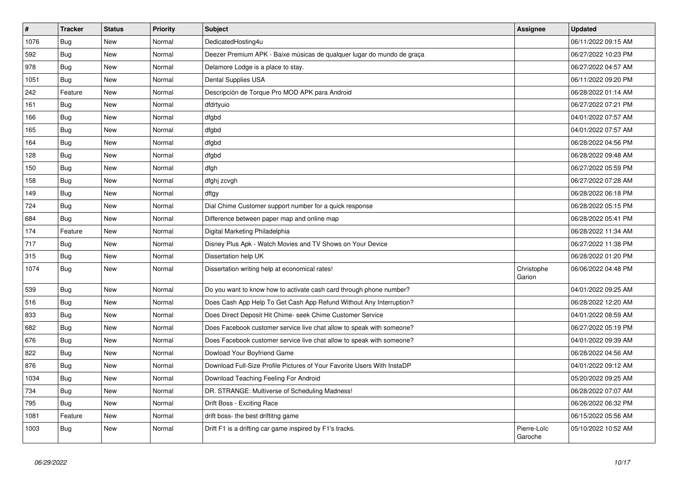| $\sharp$ | <b>Tracker</b> | <b>Status</b> | <b>Priority</b> | <b>Subject</b>                                                          | Assignee               | Updated             |
|----------|----------------|---------------|-----------------|-------------------------------------------------------------------------|------------------------|---------------------|
| 1076     | Bug            | New           | Normal          | DedicatedHosting4u                                                      |                        | 06/11/2022 09:15 AM |
| 592      | Bug            | <b>New</b>    | Normal          | Deezer Premium APK - Baixe músicas de qualquer lugar do mundo de graça  |                        | 06/27/2022 10:23 PM |
| 978      | Bug            | <b>New</b>    | Normal          | Delamore Lodge is a place to stay.                                      |                        | 06/27/2022 04:57 AM |
| 1051     | <b>Bug</b>     | New           | Normal          | Dental Supplies USA                                                     |                        | 06/11/2022 09:20 PM |
| 242      | Feature        | <b>New</b>    | Normal          | Descripción de Torque Pro MOD APK para Android                          |                        | 06/28/2022 01:14 AM |
| 161      | Bug            | New           | Normal          | dfdrtyuio                                                               |                        | 06/27/2022 07:21 PM |
| 166      | Bug            | <b>New</b>    | Normal          | dfgbd                                                                   |                        | 04/01/2022 07:57 AM |
| 165      | Bug            | New           | Normal          | dfgbd                                                                   |                        | 04/01/2022 07:57 AM |
| 164      | Bug            | New           | Normal          | dfgbd                                                                   |                        | 06/28/2022 04:56 PM |
| 128      | Bug            | <b>New</b>    | Normal          | dfgbd                                                                   |                        | 06/28/2022 09:48 AM |
| 150      | Bug            | New           | Normal          | dfgh                                                                    |                        | 06/27/2022 05:59 PM |
| 158      | <b>Bug</b>     | New           | Normal          | dfghj zcvgh                                                             |                        | 06/27/2022 07:28 AM |
| 149      | Bug            | New           | Normal          | dftgy                                                                   |                        | 06/28/2022 06:18 PM |
| 724      | Bug            | New           | Normal          | Dial Chime Customer support number for a quick response                 |                        | 06/28/2022 05:15 PM |
| 684      | <b>Bug</b>     | New           | Normal          | Difference between paper map and online map                             |                        | 06/28/2022 05:41 PM |
| 174      | Feature        | New           | Normal          | Digital Marketing Philadelphia                                          |                        | 06/28/2022 11:34 AM |
| 717      | <b>Bug</b>     | New           | Normal          | Disney Plus Apk - Watch Movies and TV Shows on Your Device              |                        | 06/27/2022 11:38 PM |
| 315      | Bug            | New           | Normal          | Dissertation help UK                                                    |                        | 06/28/2022 01:20 PM |
| 1074     | <b>Bug</b>     | New           | Normal          | Dissertation writing help at economical rates!                          | Christophe<br>Garion   | 06/06/2022 04:48 PM |
| 539      | Bug            | New           | Normal          | Do you want to know how to activate cash card through phone number?     |                        | 04/01/2022 09:25 AM |
| 516      | <b>Bug</b>     | New           | Normal          | Does Cash App Help To Get Cash App Refund Without Any Interruption?     |                        | 06/28/2022 12:20 AM |
| 833      | Bug            | New           | Normal          | Does Direct Deposit Hit Chime- seek Chime Customer Service              |                        | 04/01/2022 08:59 AM |
| 682      | <b>Bug</b>     | New           | Normal          | Does Facebook customer service live chat allow to speak with someone?   |                        | 06/27/2022 05:19 PM |
| 676      | <b>Bug</b>     | <b>New</b>    | Normal          | Does Facebook customer service live chat allow to speak with someone?   |                        | 04/01/2022 09:39 AM |
| 822      | <b>Bug</b>     | <b>New</b>    | Normal          | Dowload Your Boyfriend Game                                             |                        | 06/28/2022 04:56 AM |
| 876      | <b>Bug</b>     | <b>New</b>    | Normal          | Download Full-Size Profile Pictures of Your Favorite Users With InstaDP |                        | 04/01/2022 09:12 AM |
| 1034     | <b>Bug</b>     | <b>New</b>    | Normal          | Download Teaching Feeling For Android                                   |                        | 05/20/2022 09:25 AM |
| 734      | <b>Bug</b>     | New           | Normal          | DR. STRANGE: Multiverse of Scheduling Madness!                          |                        | 06/28/2022 07:07 AM |
| 795      | Bug            | <b>New</b>    | Normal          | Drift Boss - Exciting Race                                              |                        | 06/26/2022 06:32 PM |
| 1081     | Feature        | New           | Normal          | drift boss- the best driftitng game                                     |                        | 06/15/2022 05:56 AM |
| 1003     | Bug            | New           | Normal          | Drift F1 is a drifting car game inspired by F1's tracks.                | Pierre-Loïc<br>Garoche | 05/10/2022 10:52 AM |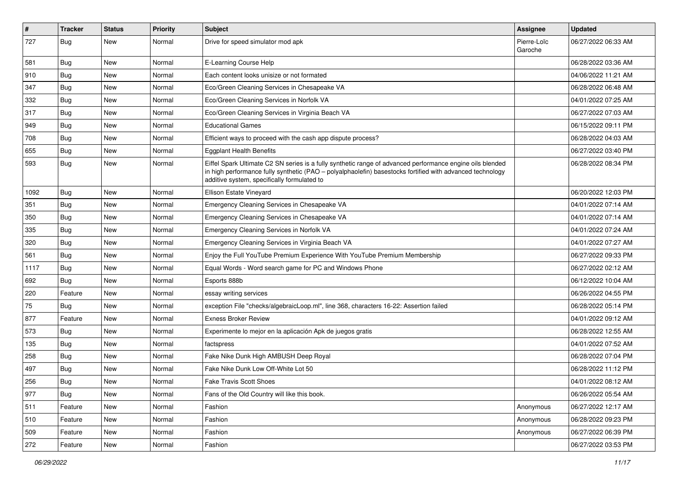| $\sharp$ | <b>Tracker</b> | <b>Status</b> | <b>Priority</b> | <b>Subject</b>                                                                                                                                                                                                                                                        | <b>Assignee</b>        | <b>Updated</b>      |
|----------|----------------|---------------|-----------------|-----------------------------------------------------------------------------------------------------------------------------------------------------------------------------------------------------------------------------------------------------------------------|------------------------|---------------------|
| 727      | Bug            | New           | Normal          | Drive for speed simulator mod apk                                                                                                                                                                                                                                     | Pierre-Loïc<br>Garoche | 06/27/2022 06:33 AM |
| 581      | Bug            | New           | Normal          | E-Learning Course Help                                                                                                                                                                                                                                                |                        | 06/28/2022 03:36 AM |
| 910      | Bug            | New           | Normal          | Each content looks unisize or not formated                                                                                                                                                                                                                            |                        | 04/06/2022 11:21 AM |
| 347      | Bug            | <b>New</b>    | Normal          | Eco/Green Cleaning Services in Chesapeake VA                                                                                                                                                                                                                          |                        | 06/28/2022 06:48 AM |
| 332      | <b>Bug</b>     | New           | Normal          | Eco/Green Cleaning Services in Norfolk VA                                                                                                                                                                                                                             |                        | 04/01/2022 07:25 AM |
| 317      | <b>Bug</b>     | <b>New</b>    | Normal          | Eco/Green Cleaning Services in Virginia Beach VA                                                                                                                                                                                                                      |                        | 06/27/2022 07:03 AM |
| 949      | Bug            | New           | Normal          | <b>Educational Games</b>                                                                                                                                                                                                                                              |                        | 06/15/2022 09:11 PM |
| 708      | <b>Bug</b>     | <b>New</b>    | Normal          | Efficient ways to proceed with the cash app dispute process?                                                                                                                                                                                                          |                        | 06/28/2022 04:03 AM |
| 655      | Bug            | New           | Normal          | <b>Eggplant Health Benefits</b>                                                                                                                                                                                                                                       |                        | 06/27/2022 03:40 PM |
| 593      | Bug            | New           | Normal          | Eiffel Spark Ultimate C2 SN series is a fully synthetic range of advanced performance engine oils blended<br>in high performance fully synthetic (PAO – polyalphaolefin) basestocks fortified with advanced technology<br>additive system, specifically formulated to |                        | 06/28/2022 08:34 PM |
| 1092     | <b>Bug</b>     | New           | Normal          | Ellison Estate Vineyard                                                                                                                                                                                                                                               |                        | 06/20/2022 12:03 PM |
| 351      | Bug            | <b>New</b>    | Normal          | Emergency Cleaning Services in Chesapeake VA                                                                                                                                                                                                                          |                        | 04/01/2022 07:14 AM |
| 350      | <b>Bug</b>     | New           | Normal          | Emergency Cleaning Services in Chesapeake VA                                                                                                                                                                                                                          |                        | 04/01/2022 07:14 AM |
| 335      | Bug            | <b>New</b>    | Normal          | Emergency Cleaning Services in Norfolk VA                                                                                                                                                                                                                             |                        | 04/01/2022 07:24 AM |
| 320      | Bug            | New           | Normal          | Emergency Cleaning Services in Virginia Beach VA                                                                                                                                                                                                                      |                        | 04/01/2022 07:27 AM |
| 561      | <b>Bug</b>     | New           | Normal          | Enjoy the Full YouTube Premium Experience With YouTube Premium Membership                                                                                                                                                                                             |                        | 06/27/2022 09:33 PM |
| 1117     | Bug            | New           | Normal          | Equal Words - Word search game for PC and Windows Phone                                                                                                                                                                                                               |                        | 06/27/2022 02:12 AM |
| 692      | Bug            | New           | Normal          | Esports 888b                                                                                                                                                                                                                                                          |                        | 06/12/2022 10:04 AM |
| 220      | Feature        | <b>New</b>    | Normal          | essay writing services                                                                                                                                                                                                                                                |                        | 06/26/2022 04:55 PM |
| 75       | Bug            | New           | Normal          | exception File "checks/algebraicLoop.ml", line 368, characters 16-22: Assertion failed                                                                                                                                                                                |                        | 06/28/2022 05:14 PM |
| 877      | Feature        | New           | Normal          | <b>Exness Broker Review</b>                                                                                                                                                                                                                                           |                        | 04/01/2022 09:12 AM |
| 573      | Bug            | New           | Normal          | Experimente lo mejor en la aplicación Apk de juegos gratis                                                                                                                                                                                                            |                        | 06/28/2022 12:55 AM |
| 135      | Bug            | <b>New</b>    | Normal          | factspress                                                                                                                                                                                                                                                            |                        | 04/01/2022 07:52 AM |
| 258      | Bug            | New           | Normal          | Fake Nike Dunk High AMBUSH Deep Royal                                                                                                                                                                                                                                 |                        | 06/28/2022 07:04 PM |
| 497      | <b>Bug</b>     | <b>New</b>    | Normal          | Fake Nike Dunk Low Off-White Lot 50                                                                                                                                                                                                                                   |                        | 06/28/2022 11:12 PM |
| 256      | Bug            | New           | Normal          | <b>Fake Travis Scott Shoes</b>                                                                                                                                                                                                                                        |                        | 04/01/2022 08:12 AM |
| 977      | Bug            | New           | Normal          | Fans of the Old Country will like this book.                                                                                                                                                                                                                          |                        | 06/26/2022 05:54 AM |
| 511      | Feature        | New           | Normal          | Fashion                                                                                                                                                                                                                                                               | Anonymous              | 06/27/2022 12:17 AM |
| 510      | Feature        | New           | Normal          | Fashion                                                                                                                                                                                                                                                               | Anonymous              | 06/28/2022 09:23 PM |
| 509      | Feature        | New           | Normal          | Fashion                                                                                                                                                                                                                                                               | Anonymous              | 06/27/2022 06:39 PM |
| 272      | Feature        | New           | Normal          | Fashion                                                                                                                                                                                                                                                               |                        | 06/27/2022 03:53 PM |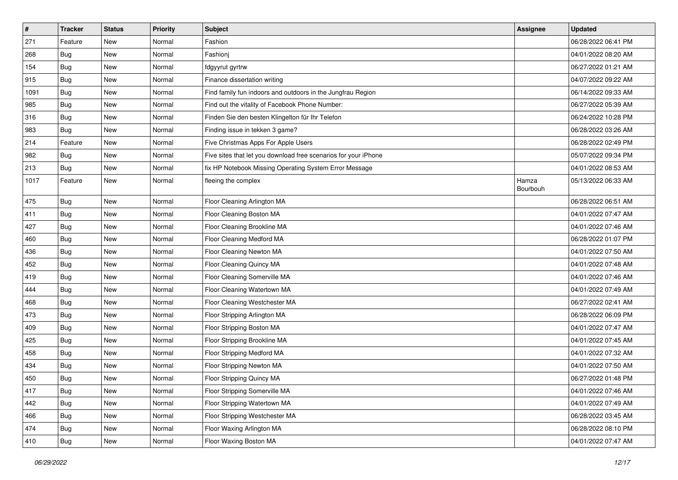| $\vert$ # | <b>Tracker</b> | <b>Status</b> | <b>Priority</b> | <b>Subject</b>                                                  | <b>Assignee</b>   | <b>Updated</b>      |
|-----------|----------------|---------------|-----------------|-----------------------------------------------------------------|-------------------|---------------------|
| 271       | Feature        | New           | Normal          | Fashion                                                         |                   | 06/28/2022 06:41 PM |
| 268       | <b>Bug</b>     | New           | Normal          | Fashionj                                                        |                   | 04/01/2022 08:20 AM |
| 154       | <b>Bug</b>     | New           | Normal          | fdgyyrut gyrtrw                                                 |                   | 06/27/2022 01:21 AM |
| 915       | <b>Bug</b>     | New           | Normal          | Finance dissertation writing                                    |                   | 04/07/2022 09:22 AM |
| 1091      | Bug            | New           | Normal          | Find family fun indoors and outdoors in the Jungfrau Region     |                   | 06/14/2022 09:33 AM |
| 985       | <b>Bug</b>     | New           | Normal          | Find out the vitality of Facebook Phone Number:                 |                   | 06/27/2022 05:39 AM |
| 316       | Bug            | <b>New</b>    | Normal          | Finden Sie den besten Klingelton für Ihr Telefon                |                   | 06/24/2022 10:28 PM |
| 983       | Bug            | New           | Normal          | Finding issue in tekken 3 game?                                 |                   | 06/28/2022 03:26 AM |
| 214       | Feature        | New           | Normal          | Five Christmas Apps For Apple Users                             |                   | 06/28/2022 02:49 PM |
| 982       | Bug            | New           | Normal          | Five sites that let you download free scenarios for your iPhone |                   | 05/07/2022 09:34 PM |
| 213       | Bug            | New           | Normal          | fix HP Notebook Missing Operating System Error Message          |                   | 04/01/2022 08:53 AM |
| 1017      | Feature        | New           | Normal          | fleeing the complex                                             | Hamza<br>Bourbouh | 05/13/2022 06:33 AM |
| 475       | <b>Bug</b>     | New           | Normal          | Floor Cleaning Arlington MA                                     |                   | 06/28/2022 06:51 AM |
| 411       | Bug            | <b>New</b>    | Normal          | Floor Cleaning Boston MA                                        |                   | 04/01/2022 07:47 AM |
| 427       | <b>Bug</b>     | New           | Normal          | Floor Cleaning Brookline MA                                     |                   | 04/01/2022 07:46 AM |
| 460       | <b>Bug</b>     | New           | Normal          | Floor Cleaning Medford MA                                       |                   | 06/28/2022 01:07 PM |
| 436       | Bug            | New           | Normal          | Floor Cleaning Newton MA                                        |                   | 04/01/2022 07:50 AM |
| 452       | <b>Bug</b>     | New           | Normal          | Floor Cleaning Quincy MA                                        |                   | 04/01/2022 07:48 AM |
| 419       | <b>Bug</b>     | New           | Normal          | Floor Cleaning Somerville MA                                    |                   | 04/01/2022 07:46 AM |
| 444       | Bug            | New           | Normal          | Floor Cleaning Watertown MA                                     |                   | 04/01/2022 07:49 AM |
| 468       | Bug            | New           | Normal          | Floor Cleaning Westchester MA                                   |                   | 06/27/2022 02:41 AM |
| 473       | Bug            | New           | Normal          | Floor Stripping Arlington MA                                    |                   | 06/28/2022 06:09 PM |
| 409       | <b>Bug</b>     | New           | Normal          | Floor Stripping Boston MA                                       |                   | 04/01/2022 07:47 AM |
| 425       | <b>Bug</b>     | New           | Normal          | Floor Stripping Brookline MA                                    |                   | 04/01/2022 07:45 AM |
| 458       | <b>Bug</b>     | New           | Normal          | Floor Stripping Medford MA                                      |                   | 04/01/2022 07:32 AM |
| 434       | <b>Bug</b>     | New           | Normal          | Floor Stripping Newton MA                                       |                   | 04/01/2022 07:50 AM |
| 450       | <b>Bug</b>     | New           | Normal          | Floor Stripping Quincy MA                                       |                   | 06/27/2022 01:48 PM |
| 417       | <b>Bug</b>     | New           | Normal          | Floor Stripping Somerville MA                                   |                   | 04/01/2022 07:46 AM |
| 442       | Bug            | New           | Normal          | Floor Stripping Watertown MA                                    |                   | 04/01/2022 07:49 AM |
| 466       | Bug            | New           | Normal          | Floor Stripping Westchester MA                                  |                   | 06/28/2022 03:45 AM |
| 474       | <b>Bug</b>     | New           | Normal          | Floor Waxing Arlington MA                                       |                   | 06/28/2022 08:10 PM |
| 410       | <b>Bug</b>     | New           | Normal          | Floor Waxing Boston MA                                          |                   | 04/01/2022 07:47 AM |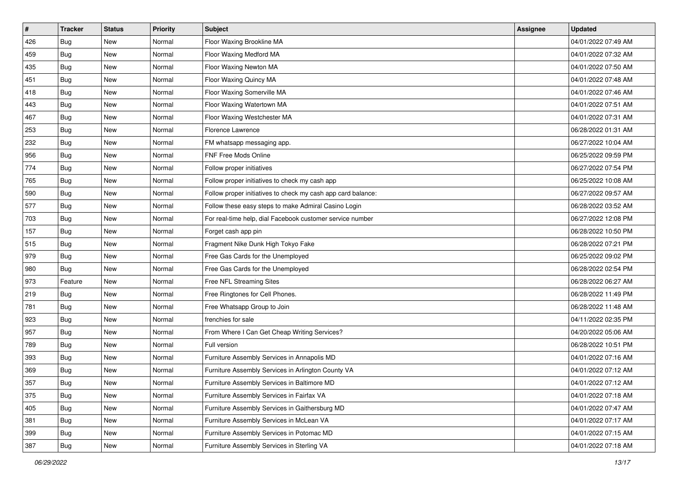| $\sharp$ | <b>Tracker</b> | <b>Status</b> | <b>Priority</b> | <b>Subject</b>                                               | Assignee | <b>Updated</b>      |
|----------|----------------|---------------|-----------------|--------------------------------------------------------------|----------|---------------------|
| 426      | <b>Bug</b>     | New           | Normal          | Floor Waxing Brookline MA                                    |          | 04/01/2022 07:49 AM |
| 459      | Bug            | New           | Normal          | Floor Waxing Medford MA                                      |          | 04/01/2022 07:32 AM |
| 435      | Bug            | New           | Normal          | Floor Waxing Newton MA                                       |          | 04/01/2022 07:50 AM |
| 451      | <b>Bug</b>     | New           | Normal          | Floor Waxing Quincy MA                                       |          | 04/01/2022 07:48 AM |
| 418      | Bug            | New           | Normal          | Floor Waxing Somerville MA                                   |          | 04/01/2022 07:46 AM |
| 443      | <b>Bug</b>     | <b>New</b>    | Normal          | Floor Waxing Watertown MA                                    |          | 04/01/2022 07:51 AM |
| 467      | <b>Bug</b>     | New           | Normal          | Floor Waxing Westchester MA                                  |          | 04/01/2022 07:31 AM |
| 253      | <b>Bug</b>     | <b>New</b>    | Normal          | Florence Lawrence                                            |          | 06/28/2022 01:31 AM |
| 232      | <b>Bug</b>     | <b>New</b>    | Normal          | FM whatsapp messaging app.                                   |          | 06/27/2022 10:04 AM |
| 956      | Bug            | New           | Normal          | FNF Free Mods Online                                         |          | 06/25/2022 09:59 PM |
| 774      | <b>Bug</b>     | <b>New</b>    | Normal          | Follow proper initiatives                                    |          | 06/27/2022 07:54 PM |
| 765      | <b>Bug</b>     | New           | Normal          | Follow proper initiatives to check my cash app               |          | 06/25/2022 10:08 AM |
| 590      | <b>Bug</b>     | <b>New</b>    | Normal          | Follow proper initiatives to check my cash app card balance: |          | 06/27/2022 09:57 AM |
| 577      | <b>Bug</b>     | New           | Normal          | Follow these easy steps to make Admiral Casino Login         |          | 06/28/2022 03:52 AM |
| 703      | <b>Bug</b>     | <b>New</b>    | Normal          | For real-time help, dial Facebook customer service number    |          | 06/27/2022 12:08 PM |
| 157      | <b>Bug</b>     | New           | Normal          | Forget cash app pin                                          |          | 06/28/2022 10:50 PM |
| 515      | <b>Bug</b>     | New           | Normal          | Fragment Nike Dunk High Tokyo Fake                           |          | 06/28/2022 07:21 PM |
| 979      | Bug            | New           | Normal          | Free Gas Cards for the Unemployed                            |          | 06/25/2022 09:02 PM |
| 980      | <b>Bug</b>     | New           | Normal          | Free Gas Cards for the Unemployed                            |          | 06/28/2022 02:54 PM |
| 973      | Feature        | <b>New</b>    | Normal          | Free NFL Streaming Sites                                     |          | 06/28/2022 06:27 AM |
| 219      | <b>Bug</b>     | New           | Normal          | Free Ringtones for Cell Phones.                              |          | 06/28/2022 11:49 PM |
| 781      | <b>Bug</b>     | New           | Normal          | Free Whatsapp Group to Join                                  |          | 06/28/2022 11:48 AM |
| 923      | Bug            | New           | Normal          | frenchies for sale                                           |          | 04/11/2022 02:35 PM |
| 957      | <b>Bug</b>     | <b>New</b>    | Normal          | From Where I Can Get Cheap Writing Services?                 |          | 04/20/2022 05:06 AM |
| 789      | Bug            | New           | Normal          | Full version                                                 |          | 06/28/2022 10:51 PM |
| 393      | <b>Bug</b>     | New           | Normal          | Furniture Assembly Services in Annapolis MD                  |          | 04/01/2022 07:16 AM |
| 369      | <b>Bug</b>     | New           | Normal          | Furniture Assembly Services in Arlington County VA           |          | 04/01/2022 07:12 AM |
| 357      | <b>Bug</b>     | New           | Normal          | Furniture Assembly Services in Baltimore MD                  |          | 04/01/2022 07:12 AM |
| 375      | Bug            | New           | Normal          | Furniture Assembly Services in Fairfax VA                    |          | 04/01/2022 07:18 AM |
| 405      | Bug            | New           | Normal          | Furniture Assembly Services in Gaithersburg MD               |          | 04/01/2022 07:47 AM |
| 381      | Bug            | New           | Normal          | Furniture Assembly Services in McLean VA                     |          | 04/01/2022 07:17 AM |
| 399      | Bug            | New           | Normal          | Furniture Assembly Services in Potomac MD                    |          | 04/01/2022 07:15 AM |
| 387      | <b>Bug</b>     | New           | Normal          | Furniture Assembly Services in Sterling VA                   |          | 04/01/2022 07:18 AM |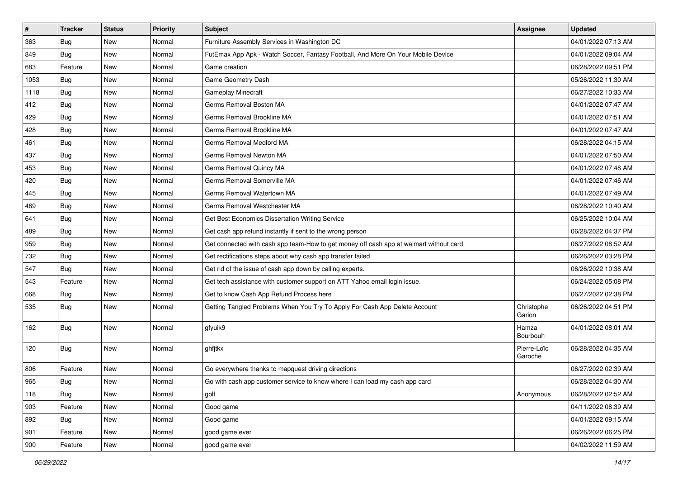| $\vert$ # | <b>Tracker</b> | <b>Status</b> | <b>Priority</b> | <b>Subject</b>                                                                         | Assignee               | <b>Updated</b>      |
|-----------|----------------|---------------|-----------------|----------------------------------------------------------------------------------------|------------------------|---------------------|
| 363       | Bug            | New           | Normal          | Furniture Assembly Services in Washington DC                                           |                        | 04/01/2022 07:13 AM |
| 849       | <b>Bug</b>     | <b>New</b>    | Normal          | FutEmax App Apk - Watch Soccer, Fantasy Football, And More On Your Mobile Device       |                        | 04/01/2022 09:04 AM |
| 683       | Feature        | New           | Normal          | Game creation                                                                          |                        | 06/28/2022 09:51 PM |
| 1053      | <b>Bug</b>     | <b>New</b>    | Normal          | Game Geometry Dash                                                                     |                        | 05/26/2022 11:30 AM |
| 1118      | Bug            | New           | Normal          | Gameplay Minecraft                                                                     |                        | 06/27/2022 10:33 AM |
| 412       | <b>Bug</b>     | New           | Normal          | Germs Removal Boston MA                                                                |                        | 04/01/2022 07:47 AM |
| 429       | Bug            | New           | Normal          | Germs Removal Brookline MA                                                             |                        | 04/01/2022 07:51 AM |
| 428       | <b>Bug</b>     | New           | Normal          | Germs Removal Brookline MA                                                             |                        | 04/01/2022 07:47 AM |
| 461       | <b>Bug</b>     | New           | Normal          | Germs Removal Medford MA                                                               |                        | 06/28/2022 04:15 AM |
| 437       | Bug            | <b>New</b>    | Normal          | Germs Removal Newton MA                                                                |                        | 04/01/2022 07:50 AM |
| 453       | <b>Bug</b>     | New           | Normal          | Germs Removal Quincy MA                                                                |                        | 04/01/2022 07:48 AM |
| 420       | Bug            | New           | Normal          | Germs Removal Somerville MA                                                            |                        | 04/01/2022 07:46 AM |
| 445       | Bug            | New           | Normal          | Germs Removal Watertown MA                                                             |                        | 04/01/2022 07:49 AM |
| 469       | <b>Bug</b>     | New           | Normal          | Germs Removal Westchester MA                                                           |                        | 06/28/2022 10:40 AM |
| 641       | <b>Bug</b>     | New           | Normal          | Get Best Economics Dissertation Writing Service                                        |                        | 06/25/2022 10:04 AM |
| 489       | <b>Bug</b>     | New           | Normal          | Get cash app refund instantly if sent to the wrong person                              |                        | 06/28/2022 04:37 PM |
| 959       | <b>Bug</b>     | New           | Normal          | Get connected with cash app team-How to get money off cash app at walmart without card |                        | 06/27/2022 08:52 AM |
| 732       | Bug            | <b>New</b>    | Normal          | Get rectifications steps about why cash app transfer failed                            |                        | 06/26/2022 03:28 PM |
| 547       | Bug            | New           | Normal          | Get rid of the issue of cash app down by calling experts.                              |                        | 06/26/2022 10:38 AM |
| 543       | Feature        | <b>New</b>    | Normal          | Get tech assistance with customer support on ATT Yahoo email login issue.              |                        | 06/24/2022 05:08 PM |
| 668       | <b>Bug</b>     | New           | Normal          | Get to know Cash App Refund Process here                                               |                        | 06/27/2022 02:38 PM |
| 535       | <b>Bug</b>     | New           | Normal          | Getting Tangled Problems When You Try To Apply For Cash App Delete Account             | Christophe<br>Garion   | 06/26/2022 04:51 PM |
| 162       | <b>Bug</b>     | New           | Normal          | gfyuik9                                                                                | Hamza<br>Bourbouh      | 04/01/2022 08:01 AM |
| 120       | Bug            | New           | Normal          | ghfjtkx                                                                                | Pierre-Loïc<br>Garoche | 06/28/2022 04:35 AM |
| 806       | Feature        | <b>New</b>    | Normal          | Go everywhere thanks to mapquest driving directions                                    |                        | 06/27/2022 02:39 AM |
| 965       | Bug            | New           | Normal          | Go with cash app customer service to know where I can load my cash app card            |                        | 06/28/2022 04:30 AM |
| 118       | Bug            | New           | Normal          | golf                                                                                   | Anonymous              | 06/28/2022 02:52 AM |
| 903       | Feature        | New           | Normal          | Good game                                                                              |                        | 04/11/2022 08:39 AM |
| 892       | <b>Bug</b>     | New           | Normal          | Good game                                                                              |                        | 04/01/2022 09:15 AM |
| 901       | Feature        | New           | Normal          | good game ever                                                                         |                        | 06/26/2022 06:25 PM |
| 900       | Feature        | New           | Normal          | good game ever                                                                         |                        | 04/02/2022 11:59 AM |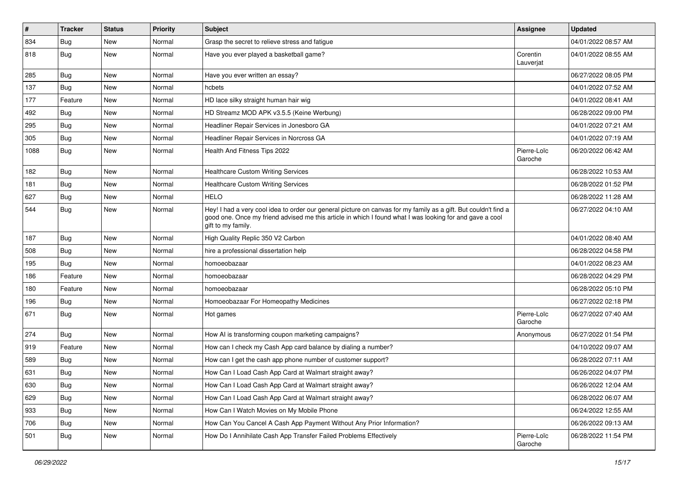| $\sharp$ | <b>Tracker</b> | <b>Status</b> | <b>Priority</b> | <b>Subject</b>                                                                                                                                                                                                                                    | Assignee               | <b>Updated</b>      |
|----------|----------------|---------------|-----------------|---------------------------------------------------------------------------------------------------------------------------------------------------------------------------------------------------------------------------------------------------|------------------------|---------------------|
| 834      | <b>Bug</b>     | New           | Normal          | Grasp the secret to relieve stress and fatigue                                                                                                                                                                                                    |                        | 04/01/2022 08:57 AM |
| 818      | <b>Bug</b>     | <b>New</b>    | Normal          | Have you ever played a basketball game?                                                                                                                                                                                                           | Corentin<br>Lauverjat  | 04/01/2022 08:55 AM |
| 285      | Bug            | <b>New</b>    | Normal          | Have you ever written an essay?                                                                                                                                                                                                                   |                        | 06/27/2022 08:05 PM |
| 137      | Bug            | <b>New</b>    | Normal          | hcbets                                                                                                                                                                                                                                            |                        | 04/01/2022 07:52 AM |
| 177      | Feature        | New           | Normal          | HD lace silky straight human hair wig                                                                                                                                                                                                             |                        | 04/01/2022 08:41 AM |
| 492      | <b>Bug</b>     | <b>New</b>    | Normal          | HD Streamz MOD APK v3.5.5 (Keine Werbung)                                                                                                                                                                                                         |                        | 06/28/2022 09:00 PM |
| 295      | Bug            | New           | Normal          | Headliner Repair Services in Jonesboro GA                                                                                                                                                                                                         |                        | 04/01/2022 07:21 AM |
| 305      | <b>Bug</b>     | <b>New</b>    | Normal          | Headliner Repair Services in Norcross GA                                                                                                                                                                                                          |                        | 04/01/2022 07:19 AM |
| 1088     | <b>Bug</b>     | <b>New</b>    | Normal          | Health And Fitness Tips 2022                                                                                                                                                                                                                      | Pierre-Loïc<br>Garoche | 06/20/2022 06:42 AM |
| 182      | Bug            | New           | Normal          | <b>Healthcare Custom Writing Services</b>                                                                                                                                                                                                         |                        | 06/28/2022 10:53 AM |
| 181      | Bug            | <b>New</b>    | Normal          | <b>Healthcare Custom Writing Services</b>                                                                                                                                                                                                         |                        | 06/28/2022 01:52 PM |
| 627      | <b>Bug</b>     | New           | Normal          | <b>HELO</b>                                                                                                                                                                                                                                       |                        | 06/28/2022 11:28 AM |
| 544      | <b>Bug</b>     | New           | Normal          | Hey! I had a very cool idea to order our general picture on canvas for my family as a gift. But couldn't find a<br>good one. Once my friend advised me this article in which I found what I was looking for and gave a cool<br>gift to my family. |                        | 06/27/2022 04:10 AM |
| 187      | Bug            | <b>New</b>    | Normal          | High Quality Replic 350 V2 Carbon                                                                                                                                                                                                                 |                        | 04/01/2022 08:40 AM |
| 508      | <b>Bug</b>     | New           | Normal          | hire a professional dissertation help                                                                                                                                                                                                             |                        | 06/28/2022 04:58 PM |
| 195      | Bug            | New           | Normal          | homoeobazaar                                                                                                                                                                                                                                      |                        | 04/01/2022 08:23 AM |
| 186      | Feature        | <b>New</b>    | Normal          | homoeobazaar                                                                                                                                                                                                                                      |                        | 06/28/2022 04:29 PM |
| 180      | Feature        | New           | Normal          | homoeobazaar                                                                                                                                                                                                                                      |                        | 06/28/2022 05:10 PM |
| 196      | <b>Bug</b>     | <b>New</b>    | Normal          | Homoeobazaar For Homeopathy Medicines                                                                                                                                                                                                             |                        | 06/27/2022 02:18 PM |
| 671      | <b>Bug</b>     | New           | Normal          | Hot games                                                                                                                                                                                                                                         | Pierre-Loïc<br>Garoche | 06/27/2022 07:40 AM |
| 274      | Bug            | <b>New</b>    | Normal          | How AI is transforming coupon marketing campaigns?                                                                                                                                                                                                | Anonymous              | 06/27/2022 01:54 PM |
| 919      | Feature        | New           | Normal          | How can I check my Cash App card balance by dialing a number?                                                                                                                                                                                     |                        | 04/10/2022 09:07 AM |
| 589      | <b>Bug</b>     | New           | Normal          | How can I get the cash app phone number of customer support?                                                                                                                                                                                      |                        | 06/28/2022 07:11 AM |
| 631      | <b>Bug</b>     | New           | Normal          | How Can I Load Cash App Card at Walmart straight away?                                                                                                                                                                                            |                        | 06/26/2022 04:07 PM |
| 630      | <b>Bug</b>     | New           | Normal          | How Can I Load Cash App Card at Walmart straight away?                                                                                                                                                                                            |                        | 06/26/2022 12:04 AM |
| 629      | Bug            | New           | Normal          | How Can I Load Cash App Card at Walmart straight away?                                                                                                                                                                                            |                        | 06/28/2022 06:07 AM |
| 933      | <b>Bug</b>     | New           | Normal          | How Can I Watch Movies on My Mobile Phone                                                                                                                                                                                                         |                        | 06/24/2022 12:55 AM |
| 706      | Bug            | New           | Normal          | How Can You Cancel A Cash App Payment Without Any Prior Information?                                                                                                                                                                              |                        | 06/26/2022 09:13 AM |
| 501      | <b>Bug</b>     | New           | Normal          | How Do I Annihilate Cash App Transfer Failed Problems Effectively                                                                                                                                                                                 | Pierre-Loïc<br>Garoche | 06/28/2022 11:54 PM |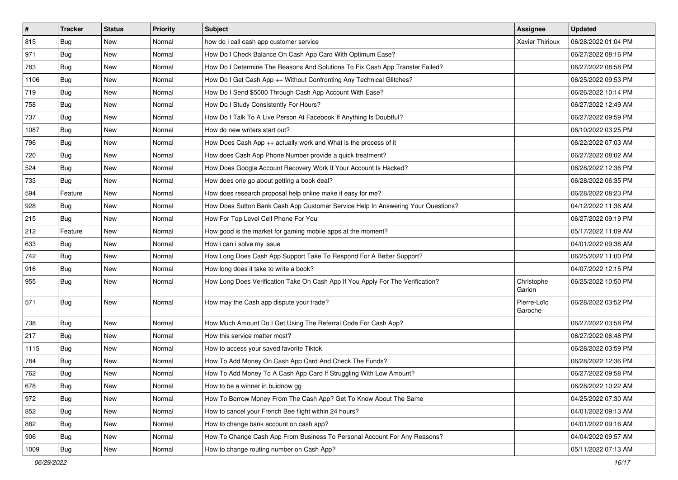| $\vert$ # | <b>Tracker</b> | <b>Status</b> | <b>Priority</b> | <b>Subject</b>                                                                   | <b>Assignee</b>        | <b>Updated</b>      |
|-----------|----------------|---------------|-----------------|----------------------------------------------------------------------------------|------------------------|---------------------|
| 815       | <b>Bug</b>     | New           | Normal          | how do i call cash app customer service                                          | <b>Xavier Thirioux</b> | 06/28/2022 01:04 PM |
| 971       | <b>Bug</b>     | New           | Normal          | How Do I Check Balance On Cash App Card With Optimum Ease?                       |                        | 06/27/2022 08:16 PM |
| 783       | Bug            | New           | Normal          | How Do I Determine The Reasons And Solutions To Fix Cash App Transfer Failed?    |                        | 06/27/2022 08:58 PM |
| 1106      | <b>Bug</b>     | New           | Normal          | How Do I Get Cash App ++ Without Confronting Any Technical Glitches?             |                        | 06/25/2022 09:53 PM |
| 719       | <b>Bug</b>     | <b>New</b>    | Normal          | How Do I Send \$5000 Through Cash App Account With Ease?                         |                        | 06/26/2022 10:14 PM |
| 758       | <b>Bug</b>     | New           | Normal          | How Do I Study Consistently For Hours?                                           |                        | 06/27/2022 12:49 AM |
| 737       | Bug            | New           | Normal          | How Do I Talk To A Live Person At Facebook If Anything Is Doubtful?              |                        | 06/27/2022 09:59 PM |
| 1087      | <b>Bug</b>     | New           | Normal          | How do new writers start out?                                                    |                        | 06/10/2022 03:25 PM |
| 796       | <b>Bug</b>     | New           | Normal          | How Does Cash App ++ actually work and What is the process of it                 |                        | 06/22/2022 07:03 AM |
| 720       | Bug            | New           | Normal          | How does Cash App Phone Number provide a quick treatment?                        |                        | 06/27/2022 08:02 AM |
| 524       | <b>Bug</b>     | New           | Normal          | How Does Google Account Recovery Work If Your Account Is Hacked?                 |                        | 06/28/2022 12:36 PM |
| 733       | <b>Bug</b>     | New           | Normal          | How does one go about getting a book deal?                                       |                        | 06/28/2022 06:35 PM |
| 594       | Feature        | New           | Normal          | How does research proposal help online make it easy for me?                      |                        | 06/28/2022 08:23 PM |
| 928       | Bug            | New           | Normal          | How Does Sutton Bank Cash App Customer Service Help In Answering Your Questions? |                        | 04/12/2022 11:36 AM |
| 215       | Bug            | New           | Normal          | How For Top Level Cell Phone For You                                             |                        | 06/27/2022 09:19 PM |
| 212       | Feature        | New           | Normal          | How good is the market for gaming mobile apps at the moment?                     |                        | 05/17/2022 11:09 AM |
| 633       | <b>Bug</b>     | New           | Normal          | How i can i solve my issue                                                       |                        | 04/01/2022 09:38 AM |
| 742       | Bug            | <b>New</b>    | Normal          | How Long Does Cash App Support Take To Respond For A Better Support?             |                        | 06/25/2022 11:00 PM |
| 916       | <b>Bug</b>     | New           | Normal          | How long does it take to write a book?                                           |                        | 04/07/2022 12:15 PM |
| 955       | Bug            | New           | Normal          | How Long Does Verification Take On Cash App If You Apply For The Verification?   | Christophe<br>Garion   | 06/25/2022 10:50 PM |
| 571       | Bug            | New           | Normal          | How may the Cash app dispute your trade?                                         | Pierre-Loïc<br>Garoche | 06/28/2022 03:52 PM |
| 738       | Bug            | New           | Normal          | How Much Amount Do I Get Using The Referral Code For Cash App?                   |                        | 06/27/2022 03:58 PM |
| 217       | <b>Bug</b>     | New           | Normal          | How this service matter most?                                                    |                        | 06/27/2022 06:48 PM |
| 1115      | Bug            | New           | Normal          | How to access your saved favorite Tiktok                                         |                        | 06/28/2022 03:59 PM |
| 784       | <b>Bug</b>     | New           | Normal          | How To Add Money On Cash App Card And Check The Funds?                           |                        | 06/28/2022 12:36 PM |
| 762       | Bug            | New           | Normal          | How To Add Money To A Cash App Card If Struggling With Low Amount?               |                        | 06/27/2022 09:58 PM |
| 678       | Bug            | New           | Normal          | How to be a winner in buidnow gg                                                 |                        | 06/28/2022 10:22 AM |
| 972       | Bug            | New           | Normal          | How To Borrow Money From The Cash App? Get To Know About The Same                |                        | 04/25/2022 07:30 AM |
| 852       | <b>Bug</b>     | New           | Normal          | How to cancel your French Bee flight within 24 hours?                            |                        | 04/01/2022 09:13 AM |
| 882       | <b>Bug</b>     | New           | Normal          | How to change bank account on cash app?                                          |                        | 04/01/2022 09:16 AM |
| 906       | Bug            | New           | Normal          | How To Change Cash App From Business To Personal Account For Any Reasons?        |                        | 04/04/2022 09:57 AM |
| 1009      | <b>Bug</b>     | New           | Normal          | How to change routing number on Cash App?                                        |                        | 05/11/2022 07:13 AM |